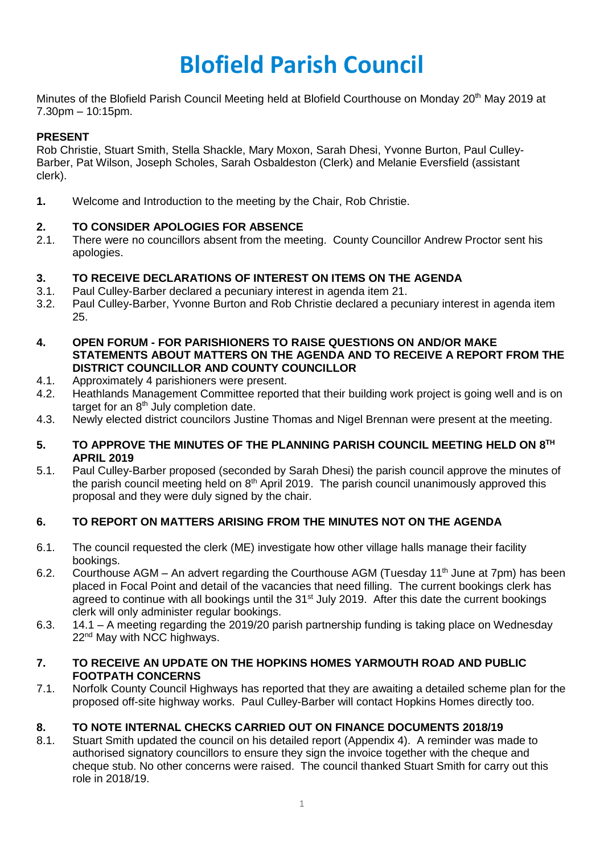# **Blofield Parish Council**

Minutes of the Blofield Parish Council Meeting held at Blofield Courthouse on Monday 20<sup>th</sup> May 2019 at 7.30pm – 10:15pm.

## **PRESENT**

Rob Christie, Stuart Smith, Stella Shackle, Mary Moxon, Sarah Dhesi, Yvonne Burton, Paul Culley-Barber, Pat Wilson, Joseph Scholes, Sarah Osbaldeston (Clerk) and Melanie Eversfield (assistant clerk).

**1.** Welcome and Introduction to the meeting by the Chair, Rob Christie.

## **2. TO CONSIDER APOLOGIES FOR ABSENCE**

2.1. There were no councillors absent from the meeting. County Councillor Andrew Proctor sent his apologies.

## **3. TO RECEIVE DECLARATIONS OF INTEREST ON ITEMS ON THE AGENDA**

- 3.1. Paul Culley-Barber declared a pecuniary interest in agenda item 21.
- 3.2. Paul Culley-Barber, Yvonne Burton and Rob Christie declared a pecuniary interest in agenda item 25.
- **4. OPEN FORUM - FOR PARISHIONERS TO RAISE QUESTIONS ON AND/OR MAKE STATEMENTS ABOUT MATTERS ON THE AGENDA AND TO RECEIVE A REPORT FROM THE DISTRICT COUNCILLOR AND COUNTY COUNCILLOR**
- 4.1. Approximately 4 parishioners were present.
- 4.2. Heathlands Management Committee reported that their building work project is going well and is on target for an 8<sup>th</sup> July completion date.
- 4.3. Newly elected district councilors Justine Thomas and Nigel Brennan were present at the meeting.

#### **5. TO APPROVE THE MINUTES OF THE PLANNING PARISH COUNCIL MEETING HELD ON 8 TH APRIL 2019**

5.1. Paul Culley-Barber proposed (seconded by Sarah Dhesi) the parish council approve the minutes of the parish council meeting held on  $8<sup>th</sup>$  April 2019. The parish council unanimously approved this proposal and they were duly signed by the chair.

## **6. TO REPORT ON MATTERS ARISING FROM THE MINUTES NOT ON THE AGENDA**

- 6.1. The council requested the clerk (ME) investigate how other village halls manage their facility bookings.
- 6.2. Courthouse AGM An advert regarding the Courthouse AGM (Tuesday 11<sup>th</sup> June at 7pm) has been placed in Focal Point and detail of the vacancies that need filling. The current bookings clerk has agreed to continue with all bookings until the  $31<sup>st</sup>$  July 2019. After this date the current bookings clerk will only administer regular bookings.
- 6.3. 14.1 A meeting regarding the 2019/20 parish partnership funding is taking place on Wednesday 22<sup>nd</sup> May with NCC highways.

#### **7. TO RECEIVE AN UPDATE ON THE HOPKINS HOMES YARMOUTH ROAD AND PUBLIC FOOTPATH CONCERNS**

7.1. Norfolk County Council Highways has reported that they are awaiting a detailed scheme plan for the proposed off-site highway works. Paul Culley-Barber will contact Hopkins Homes directly too.

## **8. TO NOTE INTERNAL CHECKS CARRIED OUT ON FINANCE DOCUMENTS 2018/19**

8.1. Stuart Smith updated the council on his detailed report (Appendix 4). A reminder was made to authorised signatory councillors to ensure they sign the invoice together with the cheque and cheque stub. No other concerns were raised. The council thanked Stuart Smith for carry out this role in 2018/19.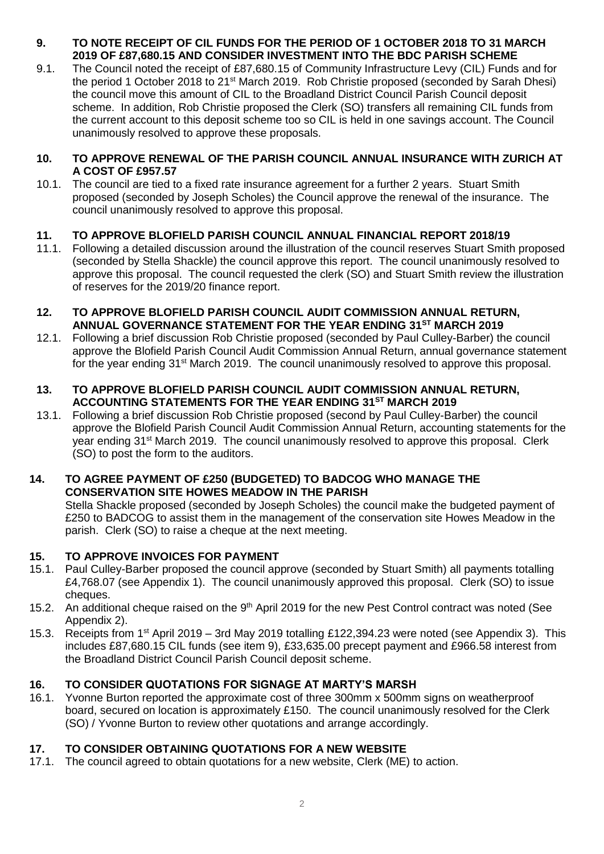#### **9. TO NOTE RECEIPT OF CIL FUNDS FOR THE PERIOD OF 1 OCTOBER 2018 TO 31 MARCH 2019 OF £87,680.15 AND CONSIDER INVESTMENT INTO THE BDC PARISH SCHEME**

9.1. The Council noted the receipt of £87,680.15 of Community Infrastructure Levy (CIL) Funds and for the period 1 October 2018 to 21<sup>st</sup> March 2019. Rob Christie proposed (seconded by Sarah Dhesi) the council move this amount of CIL to the Broadland District Council Parish Council deposit scheme. In addition, Rob Christie proposed the Clerk (SO) transfers all remaining CIL funds from the current account to this deposit scheme too so CIL is held in one savings account. The Council unanimously resolved to approve these proposals.

#### **10. TO APPROVE RENEWAL OF THE PARISH COUNCIL ANNUAL INSURANCE WITH ZURICH AT A COST OF £957.57**

10.1. The council are tied to a fixed rate insurance agreement for a further 2 years. Stuart Smith proposed (seconded by Joseph Scholes) the Council approve the renewal of the insurance. The council unanimously resolved to approve this proposal.

## **11. TO APPROVE BLOFIELD PARISH COUNCIL ANNUAL FINANCIAL REPORT 2018/19**

11.1. Following a detailed discussion around the illustration of the council reserves Stuart Smith proposed (seconded by Stella Shackle) the council approve this report. The council unanimously resolved to approve this proposal. The council requested the clerk (SO) and Stuart Smith review the illustration of reserves for the 2019/20 finance report.

#### **12. TO APPROVE BLOFIELD PARISH COUNCIL AUDIT COMMISSION ANNUAL RETURN, ANNUAL GOVERNANCE STATEMENT FOR THE YEAR ENDING 31ST MARCH 2019**

12.1. Following a brief discussion Rob Christie proposed (seconded by Paul Culley-Barber) the council approve the Blofield Parish Council Audit Commission Annual Return, annual governance statement for the year ending 31st March 2019. The council unanimously resolved to approve this proposal.

#### **13. TO APPROVE BLOFIELD PARISH COUNCIL AUDIT COMMISSION ANNUAL RETURN, ACCOUNTING STATEMENTS FOR THE YEAR ENDING 31ST MARCH 2019**

13.1. Following a brief discussion Rob Christie proposed (second by Paul Culley-Barber) the council approve the Blofield Parish Council Audit Commission Annual Return, accounting statements for the year ending 31<sup>st</sup> March 2019. The council unanimously resolved to approve this proposal. Clerk (SO) to post the form to the auditors.

#### **14. TO AGREE PAYMENT OF £250 (BUDGETED) TO BADCOG WHO MANAGE THE CONSERVATION SITE HOWES MEADOW IN THE PARISH**

Stella Shackle proposed (seconded by Joseph Scholes) the council make the budgeted payment of £250 to BADCOG to assist them in the management of the conservation site Howes Meadow in the parish. Clerk (SO) to raise a cheque at the next meeting.

## **15. TO APPROVE INVOICES FOR PAYMENT**

- 15.1. Paul Culley-Barber proposed the council approve (seconded by Stuart Smith) all payments totalling £4,768.07 (see Appendix 1). The council unanimously approved this proposal. Clerk (SO) to issue cheques.
- 15.2. An additional cheque raised on the 9<sup>th</sup> April 2019 for the new Pest Control contract was noted (See Appendix 2).
- 15.3. Receipts from 1<sup>st</sup> April 2019 3rd May 2019 totalling £122,394.23 were noted (see Appendix 3). This includes £87,680.15 CIL funds (see item 9), £33,635.00 precept payment and £966.58 interest from the Broadland District Council Parish Council deposit scheme.

## **16. TO CONSIDER QUOTATIONS FOR SIGNAGE AT MARTY'S MARSH**

16.1. Yvonne Burton reported the approximate cost of three 300mm x 500mm signs on weatherproof board, secured on location is approximately £150. The council unanimously resolved for the Clerk (SO) / Yvonne Burton to review other quotations and arrange accordingly.

## **17. TO CONSIDER OBTAINING QUOTATIONS FOR A NEW WEBSITE**

17.1. The council agreed to obtain quotations for a new website, Clerk (ME) to action.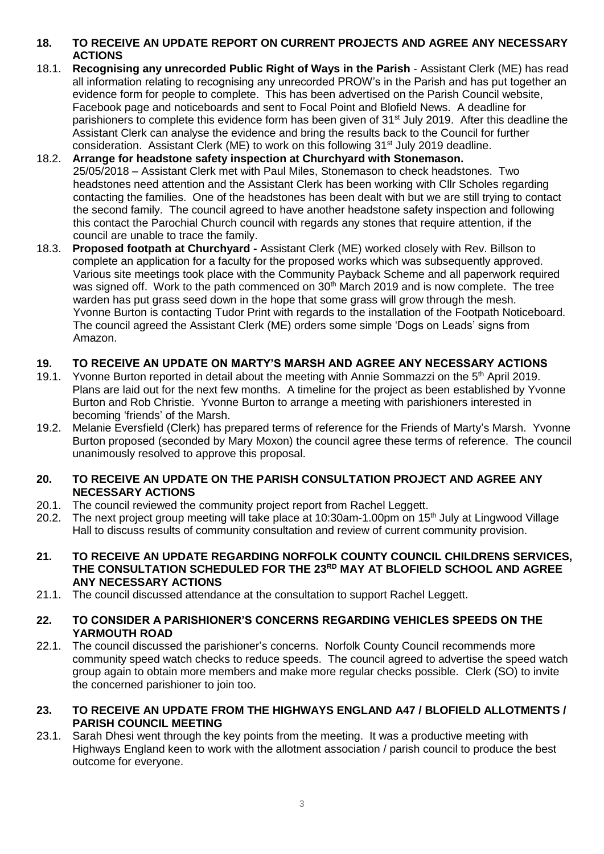## **18. TO RECEIVE AN UPDATE REPORT ON CURRENT PROJECTS AND AGREE ANY NECESSARY ACTIONS**

- 18.1. **Recognising any unrecorded Public Right of Ways in the Parish** Assistant Clerk (ME) has read all information relating to recognising any unrecorded PROW's in the Parish and has put together an evidence form for people to complete. This has been advertised on the Parish Council website, Facebook page and noticeboards and sent to Focal Point and Blofield News. A deadline for parishioners to complete this evidence form has been given of 31<sup>st</sup> July 2019. After this deadline the Assistant Clerk can analyse the evidence and bring the results back to the Council for further consideration. Assistant Clerk (ME) to work on this following  $31<sup>st</sup>$  July 2019 deadline.
- 18.2. **Arrange for headstone safety inspection at Churchyard with Stonemason.**  25/05/2018 – Assistant Clerk met with Paul Miles, Stonemason to check headstones. Two headstones need attention and the Assistant Clerk has been working with Cllr Scholes regarding contacting the families. One of the headstones has been dealt with but we are still trying to contact the second family. The council agreed to have another headstone safety inspection and following this contact the Parochial Church council with regards any stones that require attention, if the council are unable to trace the family.
- 18.3. **Proposed footpath at Churchyard -** Assistant Clerk (ME) worked closely with Rev. Billson to complete an application for a faculty for the proposed works which was subsequently approved. Various site meetings took place with the Community Payback Scheme and all paperwork required was signed off. Work to the path commenced on 30<sup>th</sup> March 2019 and is now complete. The tree warden has put grass seed down in the hope that some grass will grow through the mesh. Yvonne Burton is contacting Tudor Print with regards to the installation of the Footpath Noticeboard. The council agreed the Assistant Clerk (ME) orders some simple 'Dogs on Leads' signs from Amazon.

## **19. TO RECEIVE AN UPDATE ON MARTY'S MARSH AND AGREE ANY NECESSARY ACTIONS**

- 19.1. Yvonne Burton reported in detail about the meeting with Annie Sommazzi on the 5<sup>th</sup> April 2019. Plans are laid out for the next few months. A timeline for the project as been established by Yvonne Burton and Rob Christie. Yvonne Burton to arrange a meeting with parishioners interested in becoming 'friends' of the Marsh.
- 19.2. Melanie Eversfield (Clerk) has prepared terms of reference for the Friends of Marty's Marsh. Yvonne Burton proposed (seconded by Mary Moxon) the council agree these terms of reference. The council unanimously resolved to approve this proposal.

#### **20. TO RECEIVE AN UPDATE ON THE PARISH CONSULTATION PROJECT AND AGREE ANY NECESSARY ACTIONS**

- 20.1. The council reviewed the community project report from Rachel Leggett.
- 20.2. The next project group meeting will take place at 10:30am-1.00pm on 15<sup>th</sup> July at Lingwood Village Hall to discuss results of community consultation and review of current community provision.
- **21. TO RECEIVE AN UPDATE REGARDING NORFOLK COUNTY COUNCIL CHILDRENS SERVICES, THE CONSULTATION SCHEDULED FOR THE 23RD MAY AT BLOFIELD SCHOOL AND AGREE ANY NECESSARY ACTIONS**
- 21.1. The council discussed attendance at the consultation to support Rachel Leggett.

#### **22. TO CONSIDER A PARISHIONER'S CONCERNS REGARDING VEHICLES SPEEDS ON THE YARMOUTH ROAD**

22.1. The council discussed the parishioner's concerns. Norfolk County Council recommends more community speed watch checks to reduce speeds. The council agreed to advertise the speed watch group again to obtain more members and make more regular checks possible. Clerk (SO) to invite the concerned parishioner to join too.

#### **23. TO RECEIVE AN UPDATE FROM THE HIGHWAYS ENGLAND A47 / BLOFIELD ALLOTMENTS / PARISH COUNCIL MEETING**

23.1. Sarah Dhesi went through the key points from the meeting. It was a productive meeting with Highways England keen to work with the allotment association / parish council to produce the best outcome for everyone.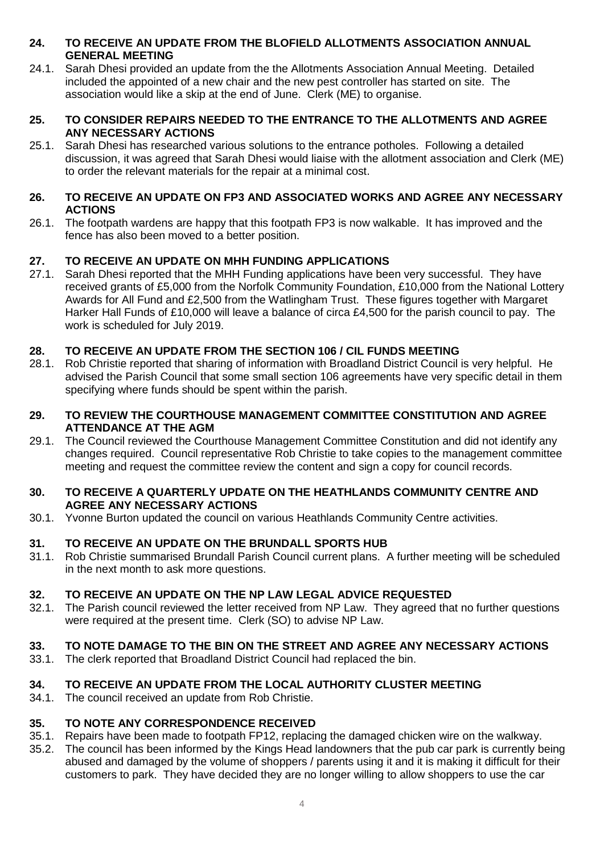#### **24. TO RECEIVE AN UPDATE FROM THE BLOFIELD ALLOTMENTS ASSOCIATION ANNUAL GENERAL MEETING**

24.1. Sarah Dhesi provided an update from the the Allotments Association Annual Meeting. Detailed included the appointed of a new chair and the new pest controller has started on site. The association would like a skip at the end of June. Clerk (ME) to organise.

#### **25. TO CONSIDER REPAIRS NEEDED TO THE ENTRANCE TO THE ALLOTMENTS AND AGREE ANY NECESSARY ACTIONS**

25.1. Sarah Dhesi has researched various solutions to the entrance potholes. Following a detailed discussion, it was agreed that Sarah Dhesi would liaise with the allotment association and Clerk (ME) to order the relevant materials for the repair at a minimal cost.

#### **26. TO RECEIVE AN UPDATE ON FP3 AND ASSOCIATED WORKS AND AGREE ANY NECESSARY ACTIONS**

26.1. The footpath wardens are happy that this footpath FP3 is now walkable. It has improved and the fence has also been moved to a better position.

## **27. TO RECEIVE AN UPDATE ON MHH FUNDING APPLICATIONS**

27.1. Sarah Dhesi reported that the MHH Funding applications have been very successful. They have received grants of £5,000 from the Norfolk Community Foundation, £10,000 from the National Lottery Awards for All Fund and £2,500 from the Watlingham Trust. These figures together with Margaret Harker Hall Funds of £10,000 will leave a balance of circa £4,500 for the parish council to pay. The work is scheduled for July 2019.

## **28. TO RECEIVE AN UPDATE FROM THE SECTION 106 / CIL FUNDS MEETING**

28.1. Rob Christie reported that sharing of information with Broadland District Council is very helpful. He advised the Parish Council that some small section 106 agreements have very specific detail in them specifying where funds should be spent within the parish.

#### **29. TO REVIEW THE COURTHOUSE MANAGEMENT COMMITTEE CONSTITUTION AND AGREE ATTENDANCE AT THE AGM**

29.1. The Council reviewed the Courthouse Management Committee Constitution and did not identify any changes required. Council representative Rob Christie to take copies to the management committee meeting and request the committee review the content and sign a copy for council records.

#### **30. TO RECEIVE A QUARTERLY UPDATE ON THE HEATHLANDS COMMUNITY CENTRE AND AGREE ANY NECESSARY ACTIONS**

30.1. Yvonne Burton updated the council on various Heathlands Community Centre activities.

## **31. TO RECEIVE AN UPDATE ON THE BRUNDALL SPORTS HUB**

31.1. Rob Christie summarised Brundall Parish Council current plans. A further meeting will be scheduled in the next month to ask more questions.

#### **32. TO RECEIVE AN UPDATE ON THE NP LAW LEGAL ADVICE REQUESTED**

32.1. The Parish council reviewed the letter received from NP Law. They agreed that no further questions were required at the present time. Clerk (SO) to advise NP Law.

## **33. TO NOTE DAMAGE TO THE BIN ON THE STREET AND AGREE ANY NECESSARY ACTIONS**

33.1. The clerk reported that Broadland District Council had replaced the bin.

#### **34. TO RECEIVE AN UPDATE FROM THE LOCAL AUTHORITY CLUSTER MEETING**

34.1. The council received an update from Rob Christie.

#### **35. TO NOTE ANY CORRESPONDENCE RECEIVED**

- 35.1. Repairs have been made to footpath FP12, replacing the damaged chicken wire on the walkway.
- 35.2. The council has been informed by the Kings Head landowners that the pub car park is currently being abused and damaged by the volume of shoppers / parents using it and it is making it difficult for their customers to park. They have decided they are no longer willing to allow shoppers to use the car